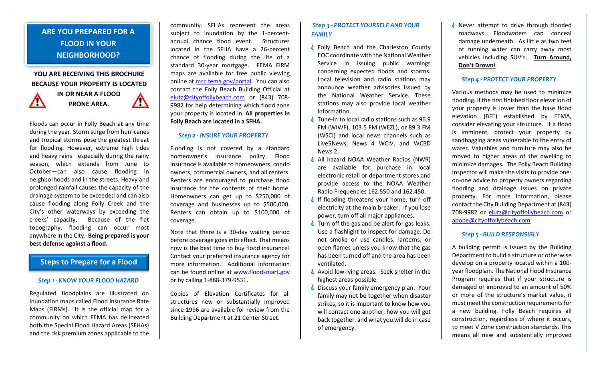# **ARE YOU PREPARED FOR A FLOOD IN YOUR NEIGHBORHOOD?**

# **YOU ARE RECEIVING THIS BROCHURE BECAUSE YOUR PROPERTY IS LOCATED**



**IN OR NEAR A FLOOD PRONE AREA.**

Floods can occur in Folly Beach at any time during the year. Storm surge from hurricanes

 $\mathcal{L}$ 

and tropical storms pose the greatest threat for flooding. However, extreme high tides and heavy rains—especially during the rainy season, which extends from June to October—can also cause flooding in neighborhoods and in the streets. Heavy and prolonged rainfall causes the capacity of the drainage system to be exceeded and can also cause flooding along Folly Creek and the City's other waterways by exceeding the creeks' capacity. Because of the flat topography, flooding can occur most anywhere in the City. **Being prepared is your best defense against a flood.**

# **Steps to Prepare for a Flood**

#### *Step 1 - KNOW YOUR FLOOD HAZARD*

Regulated floodplains are illustrated on inundation maps called Flood Insurance Rate Maps (FIRMs). It is the official map for a community on which FEMA has delineated both the Special Flood Hazard Areas (SFHAs) and the risk premium zones applicable to the

community. SFHAs represent the areas subject to inundation by the 1-percentannual chance flood event. Structures located in the SFHA have a 26-percent chance of flooding during the life of a standard 30-year mortgage. FEMA FIRM maps are available for free public viewing online at [msc.fema.gov/portal.](https://msc.fema.gov/portal) You can also contact the Folly Beach Building Official at [elutz@cityoffollybeach.com](mailto:elutz@cityoffollybeach.com) or (843) 708- 9982 for help determining which flood zone your property is located in. **All properties in Folly Beach are located in a SFHA.**

### *Step 2 - INSURE YOUR PROPERTY*

Flooding is not covered by a standard homeowner's insurance policy. Flood insurance is available to homeowners, condo owners, commercial owners, and all renters. Renters are encouraged to purchase flood insurance for the contents of their home. Homeowners can get up to \$250,000 of coverage and businesses up to \$500,000. Renters can obtain up to \$100,000 of coverage.

Note that there is a 30-day waiting period before coverage goes into effect. That means now is the best time to buy flood insurance! Contact your preferred insurance agency for more information. Additional information can be found online at www[.floodsmart.gov](https://floodsmart.gov/) or by calling 1-888-379-9531.

Copies of Elevation Certificates for all structures new or substantially improved since 1996 are available for review from the Building Department at 21 Center Street.

## *Step 3 - PROTECT YOURSELF AND YOUR FAMILY*

- ♦ Folly Beach and the Charleston County EOC coordinate with the National Weather Service in issuing public warnings concerning expected floods and storms. Local television and radio stations may announce weather advisories issued by the National Weather Service. These stations may also provide local weather information.
- $\triangle$  Tune-in to local radio stations such as 96.9 FM (WIWF), 103.5 FM (WEZL), or 89.3 FM (WSCI) and local news channels such as Live5News, News 4 WCIV, and WCBD News 2.
- All hazard NOAA Weather Radios (NWR) are available for purchase in local electronic retail or department stores and provide access to the NOAA Weather Radio Frequencies 162.550 and 162.450.
- If flooding threatens your home, turn off electricity at the main breaker. If you lose power, turn off all major appliances.
- **↓** Turn off the gas and be alert for gas leaks. Use a flashlight to inspect for damage. Do not smoke or use candles, lanterns, or open flames unless you know that the gas has been turned off and the area has been ventilated.
- $\triangle$  Avoid low-lying areas. Seek shelter in the highest areas possible.
- $\triangle$  Discuss your family emergency plan. Your family may not be together when disaster strikes, so it is important to know how you will contact one another, how you will get back together, and what you will do in case of emergency.

 $\triangle$  Never attempt to drive through flooded roadways. Floodwaters can conceal damage underneath. As little as two feet of running water can carry away most vehicles including SUV's. **Turn Around, Don't Drown!**

### *Step 4 - PROTECT YOUR PROPERTY*

Various methods may be used to minimize flooding. If the first finished floor elevation of your property is lower than the base flood elevation (BFE) established by FEMA, consider elevating your structure. If a flood is imminent, protect your property by sandbagging areas vulnerable to the entry of water. Valuables and furniture may also be moved to higher areas of the dwelling to minimize damages. The Folly Beach Building Inspector will make site visits to provide oneon-one advice to property owners regarding flooding and drainage issues on private property. For more information, please contact the City Building Department at (843) 708-9982 or [elutz@cityoffollybeach.com](mailto:elutz@cityoffollybeach.com) or [apope@cityoffollybeach.com.](mailto:apope@cityoffollybeach.com)

#### *Step 5 - BUILD RESPONSIBLY*

A building permit is issued by the Building Department to build a structure or otherwise develop on a property located within a 100 year floodplain. The National Flood Insurance Program requires that if your structure is damaged or improved to an amount of 50% or more of the structure's market value, it must meet the construction requirements for a new building. Folly Beach requires all construction, regardless of where it occurs, to meet V Zone construction standards. This means all new and substantially improved